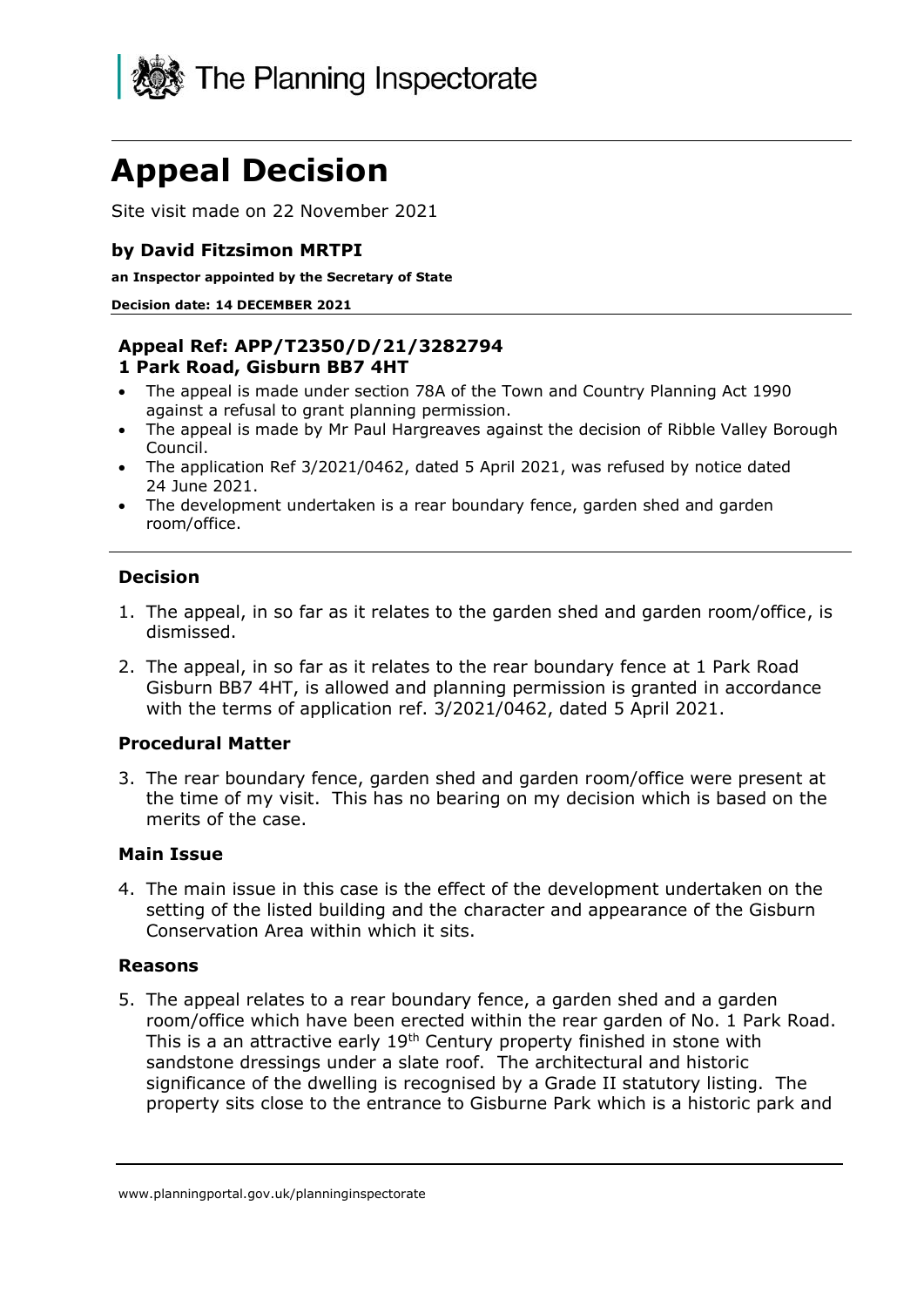

# **Appeal Decision**

Site visit made on 22 November 2021

## **by David Fitzsimon MRTPI**

**an Inspector appointed by the Secretary of State**

**Decision date: 14 DECEMBER 2021**

#### **Appeal Ref: APP/T2350/D/21/3282794 1 Park Road, Gisburn BB7 4HT**

- The appeal is made under section 78A of the Town and Country Planning Act 1990 against a refusal to grant planning permission.
- The appeal is made by Mr Paul Hargreaves against the decision of Ribble Valley Borough Council.
- The application Ref 3/2021/0462, dated 5 April 2021, was refused by notice dated 24 June 2021.
- The development undertaken is a rear boundary fence, garden shed and garden room/office.

## **Decision**

- 1. The appeal, in so far as it relates to the garden shed and garden room/office, is dismissed.
- 2. The appeal, in so far as it relates to the rear boundary fence at 1 Park Road Gisburn BB7 4HT, is allowed and planning permission is granted in accordance with the terms of application ref. 3/2021/0462, dated 5 April 2021.

#### **Procedural Matter**

3. The rear boundary fence, garden shed and garden room/office were present at the time of my visit. This has no bearing on my decision which is based on the merits of the case.

#### **Main Issue**

4. The main issue in this case is the effect of the development undertaken on the setting of the listed building and the character and appearance of the Gisburn Conservation Area within which it sits.

#### **Reasons**

5. The appeal relates to a rear boundary fence, a garden shed and a garden room/office which have been erected within the rear garden of No. 1 Park Road. This is a an attractive early  $19<sup>th</sup>$  Century property finished in stone with sandstone dressings under a slate roof. The architectural and historic significance of the dwelling is recognised by a Grade II statutory listing. The property sits close to the entrance to Gisburne Park which is a historic park and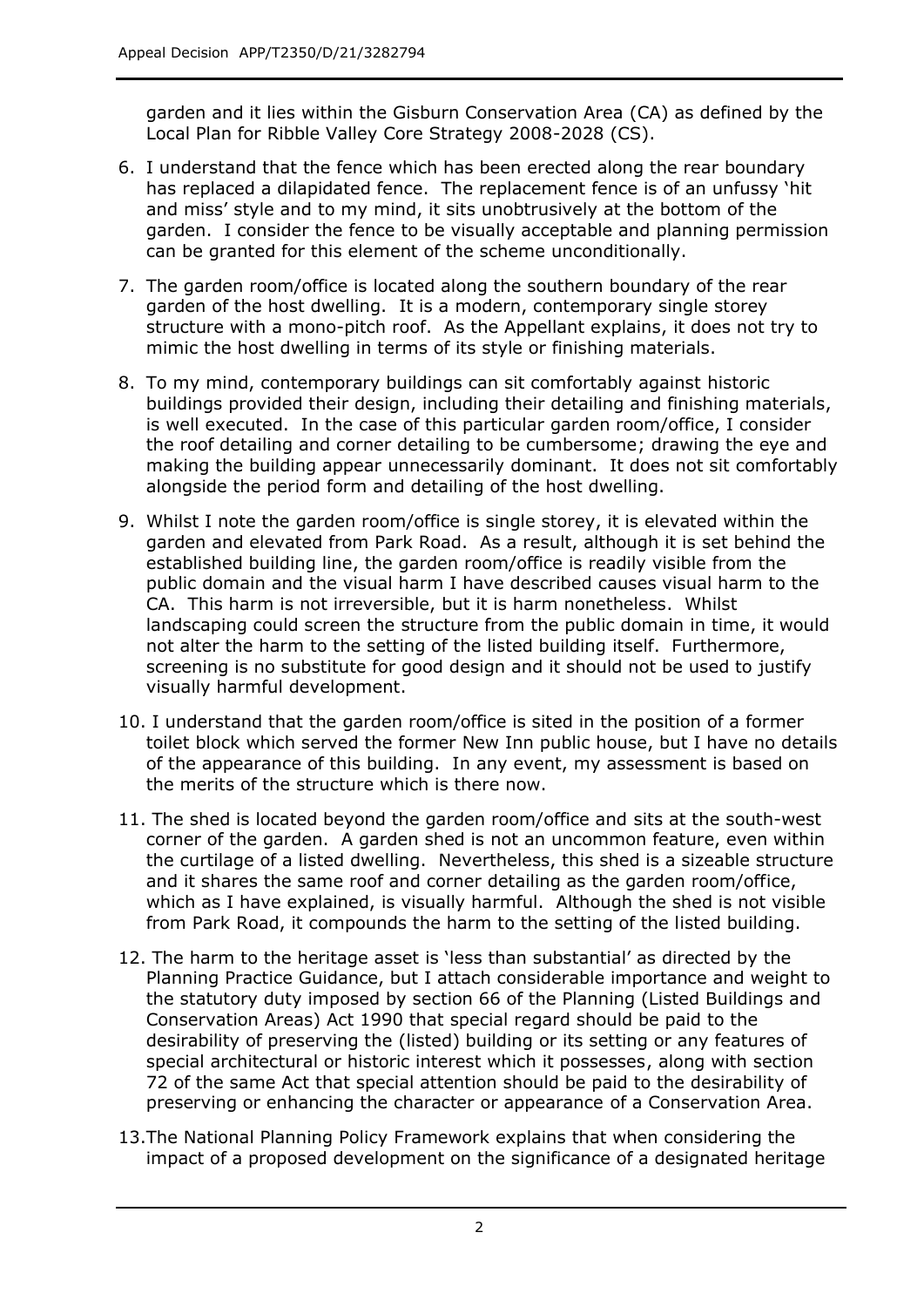garden and it lies within the Gisburn Conservation Area (CA) as defined by the Local Plan for Ribble Valley Core Strategy 2008-2028 (CS).

- 6. I understand that the fence which has been erected along the rear boundary has replaced a dilapidated fence. The replacement fence is of an unfussy 'hit and miss' style and to my mind, it sits unobtrusively at the bottom of the garden. I consider the fence to be visually acceptable and planning permission can be granted for this element of the scheme unconditionally.
- 7. The garden room/office is located along the southern boundary of the rear garden of the host dwelling. It is a modern, contemporary single storey structure with a mono-pitch roof. As the Appellant explains, it does not try to mimic the host dwelling in terms of its style or finishing materials.
- 8. To my mind, contemporary buildings can sit comfortably against historic buildings provided their design, including their detailing and finishing materials, is well executed. In the case of this particular garden room/office, I consider the roof detailing and corner detailing to be cumbersome; drawing the eye and making the building appear unnecessarily dominant. It does not sit comfortably alongside the period form and detailing of the host dwelling.
- 9. Whilst I note the garden room/office is single storey, it is elevated within the garden and elevated from Park Road. As a result, although it is set behind the established building line, the garden room/office is readily visible from the public domain and the visual harm I have described causes visual harm to the CA. This harm is not irreversible, but it is harm nonetheless. Whilst landscaping could screen the structure from the public domain in time, it would not alter the harm to the setting of the listed building itself. Furthermore, screening is no substitute for good design and it should not be used to justify visually harmful development.
- 10. I understand that the garden room/office is sited in the position of a former toilet block which served the former New Inn public house, but I have no details of the appearance of this building. In any event, my assessment is based on the merits of the structure which is there now.
- 11. The shed is located beyond the garden room/office and sits at the south-west corner of the garden. A garden shed is not an uncommon feature, even within the curtilage of a listed dwelling. Nevertheless, this shed is a sizeable structure and it shares the same roof and corner detailing as the garden room/office, which as I have explained, is visually harmful. Although the shed is not visible from Park Road, it compounds the harm to the setting of the listed building.
- 12. The harm to the heritage asset is 'less than substantial' as directed by the Planning Practice Guidance, but I attach considerable importance and weight to the statutory duty imposed by section 66 of the Planning (Listed Buildings and Conservation Areas) Act 1990 that special regard should be paid to the desirability of preserving the (listed) building or its setting or any features of special architectural or historic interest which it possesses, along with section 72 of the same Act that special attention should be paid to the desirability of preserving or enhancing the character or appearance of a Conservation Area.
- 13.The National Planning Policy Framework explains that when considering the impact of a proposed development on the significance of a designated heritage